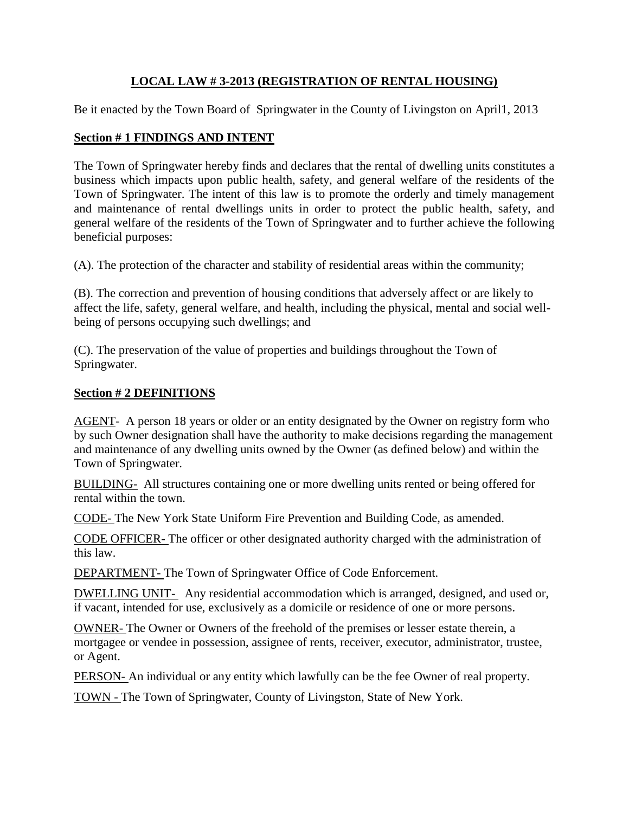# **LOCAL LAW # 3-2013 (REGISTRATION OF RENTAL HOUSING)**

Be it enacted by the Town Board of Springwater in the County of Livingston on April1, 2013

### **Section # 1 FINDINGS AND INTENT**

The Town of Springwater hereby finds and declares that the rental of dwelling units constitutes a business which impacts upon public health, safety, and general welfare of the residents of the Town of Springwater. The intent of this law is to promote the orderly and timely management and maintenance of rental dwellings units in order to protect the public health, safety, and general welfare of the residents of the Town of Springwater and to further achieve the following beneficial purposes:

(A). The protection of the character and stability of residential areas within the community;

(B). The correction and prevention of housing conditions that adversely affect or are likely to affect the life, safety, general welfare, and health, including the physical, mental and social wellbeing of persons occupying such dwellings; and

(C). The preservation of the value of properties and buildings throughout the Town of Springwater.

# **Section # 2 DEFINITIONS**

AGENT- A person 18 years or older or an entity designated by the Owner on registry form who by such Owner designation shall have the authority to make decisions regarding the management and maintenance of any dwelling units owned by the Owner (as defined below) and within the Town of Springwater.

BUILDING- All structures containing one or more dwelling units rented or being offered for rental within the town.

CODE- The New York State Uniform Fire Prevention and Building Code, as amended.

CODE OFFICER- The officer or other designated authority charged with the administration of this law.

DEPARTMENT- The Town of Springwater Office of Code Enforcement.

DWELLING UNIT- Any residential accommodation which is arranged, designed, and used or, if vacant, intended for use, exclusively as a domicile or residence of one or more persons.

OWNER- The Owner or Owners of the freehold of the premises or lesser estate therein, a mortgagee or vendee in possession, assignee of rents, receiver, executor, administrator, trustee, or Agent.

PERSON- An individual or any entity which lawfully can be the fee Owner of real property.

TOWN - The Town of Springwater, County of Livingston, State of New York.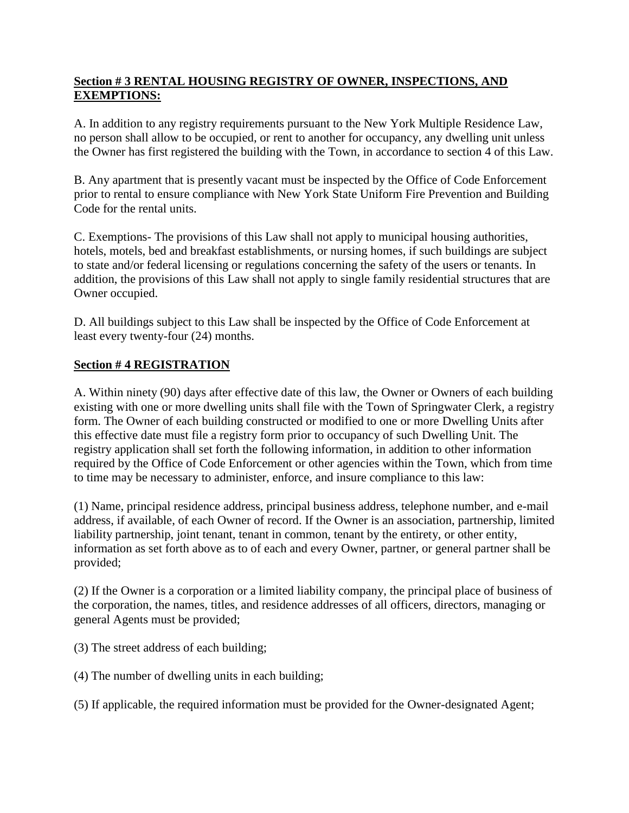# **Section # 3 RENTAL HOUSING REGISTRY OF OWNER, INSPECTIONS, AND EXEMPTIONS:**

A. In addition to any registry requirements pursuant to the New York Multiple Residence Law, no person shall allow to be occupied, or rent to another for occupancy, any dwelling unit unless the Owner has first registered the building with the Town, in accordance to section 4 of this Law.

B. Any apartment that is presently vacant must be inspected by the Office of Code Enforcement prior to rental to ensure compliance with New York State Uniform Fire Prevention and Building Code for the rental units.

C. Exemptions- The provisions of this Law shall not apply to municipal housing authorities, hotels, motels, bed and breakfast establishments, or nursing homes, if such buildings are subject to state and/or federal licensing or regulations concerning the safety of the users or tenants. In addition, the provisions of this Law shall not apply to single family residential structures that are Owner occupied.

D. All buildings subject to this Law shall be inspected by the Office of Code Enforcement at least every twenty-four (24) months.

# **Section # 4 REGISTRATION**

A. Within ninety (90) days after effective date of this law, the Owner or Owners of each building existing with one or more dwelling units shall file with the Town of Springwater Clerk, a registry form. The Owner of each building constructed or modified to one or more Dwelling Units after this effective date must file a registry form prior to occupancy of such Dwelling Unit. The registry application shall set forth the following information, in addition to other information required by the Office of Code Enforcement or other agencies within the Town, which from time to time may be necessary to administer, enforce, and insure compliance to this law:

(1) Name, principal residence address, principal business address, telephone number, and e-mail address, if available, of each Owner of record. If the Owner is an association, partnership, limited liability partnership, joint tenant, tenant in common, tenant by the entirety, or other entity, information as set forth above as to of each and every Owner, partner, or general partner shall be provided;

(2) If the Owner is a corporation or a limited liability company, the principal place of business of the corporation, the names, titles, and residence addresses of all officers, directors, managing or general Agents must be provided;

- (3) The street address of each building;
- (4) The number of dwelling units in each building;
- (5) If applicable, the required information must be provided for the Owner-designated Agent;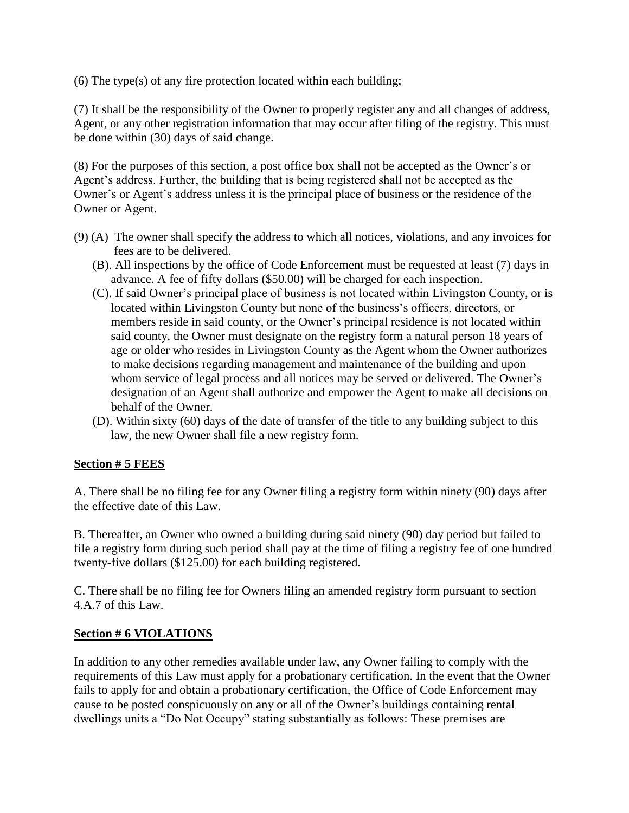(6) The type(s) of any fire protection located within each building;

(7) It shall be the responsibility of the Owner to properly register any and all changes of address, Agent, or any other registration information that may occur after filing of the registry. This must be done within (30) days of said change.

(8) For the purposes of this section, a post office box shall not be accepted as the Owner's or Agent's address. Further, the building that is being registered shall not be accepted as the Owner's or Agent's address unless it is the principal place of business or the residence of the Owner or Agent.

- (9) (A) The owner shall specify the address to which all notices, violations, and any invoices for fees are to be delivered.
	- (B). All inspections by the office of Code Enforcement must be requested at least (7) days in advance. A fee of fifty dollars (\$50.00) will be charged for each inspection.
	- (C). If said Owner's principal place of business is not located within Livingston County, or is located within Livingston County but none of the business's officers, directors, or members reside in said county, or the Owner's principal residence is not located within said county, the Owner must designate on the registry form a natural person 18 years of age or older who resides in Livingston County as the Agent whom the Owner authorizes to make decisions regarding management and maintenance of the building and upon whom service of legal process and all notices may be served or delivered. The Owner's designation of an Agent shall authorize and empower the Agent to make all decisions on behalf of the Owner.
	- (D). Within sixty (60) days of the date of transfer of the title to any building subject to this law, the new Owner shall file a new registry form.

#### **Section # 5 FEES**

A. There shall be no filing fee for any Owner filing a registry form within ninety (90) days after the effective date of this Law.

B. Thereafter, an Owner who owned a building during said ninety (90) day period but failed to file a registry form during such period shall pay at the time of filing a registry fee of one hundred twenty-five dollars (\$125.00) for each building registered.

C. There shall be no filing fee for Owners filing an amended registry form pursuant to section 4.A.7 of this Law.

#### **Section # 6 VIOLATIONS**

In addition to any other remedies available under law, any Owner failing to comply with the requirements of this Law must apply for a probationary certification. In the event that the Owner fails to apply for and obtain a probationary certification, the Office of Code Enforcement may cause to be posted conspicuously on any or all of the Owner's buildings containing rental dwellings units a "Do Not Occupy" stating substantially as follows: These premises are